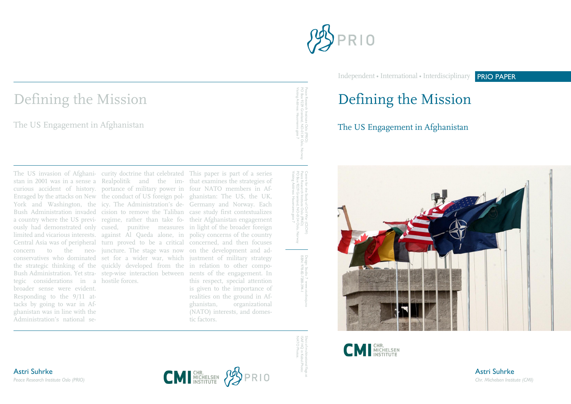

Independent • International • Interdisciplinary PRIO PAPER

# Defining the Mission

The US Engagement in Afghanistan





-0134 Oslo, Norway Visiting Address: Hausmanns gate 7

PO Box 9229 Grønland, NO Peace Research Institute Oslo (PRIO) Centre for the Study of Civil War (CSCW) -0134 Oslo, Norway Visiting Address: Hausmanns gate 7

> Design: Studio 7 www.studiosju.no ISBN: 978-82-7288-394-1

ISAF HQ in Kabul. Shot of multinational flags at Shot of multinational flags at<br>ISAF HQ in Kabul.Photo:<br>NATO Photos. NATO Photos.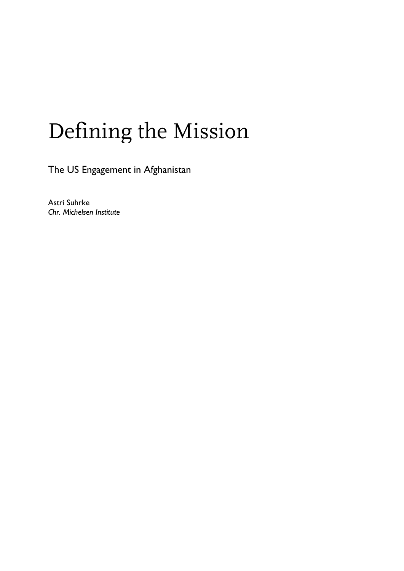# Defining the Mission

The US Engagement in Afghanistan

Astri Suhrke *Chr. Michelsen Institute*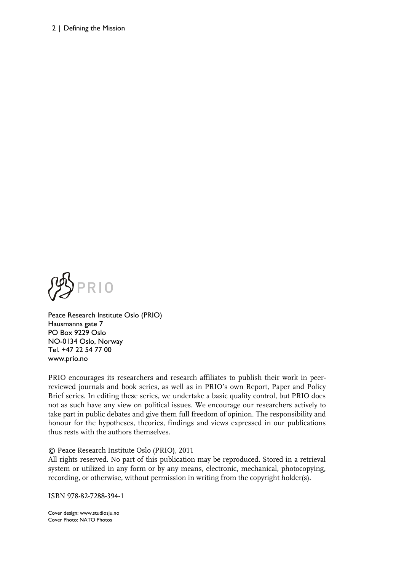#### 2 | Defining the Mission



Peace Research Institute Oslo (PRIO) Hausmanns gate 7 PO Box 9229 Oslo NO-0134 Oslo, Norway Tel. +47 22 54 77 00 www.prio.no

PRIO encourages its researchers and research affiliates to publish their work in peerreviewed journals and book series, as well as in PRIO's own Report, Paper and Policy Brief series. In editing these series, we undertake a basic quality control, but PRIO does not as such have any view on political issues. We encourage our researchers actively to take part in public debates and give them full freedom of opinion. The responsibility and honour for the hypotheses, theories, findings and views expressed in our publications thus rests with the authors themselves.

#### © Peace Research Institute Oslo (PRIO), 2011

All rights reserved. No part of this publication may be reproduced. Stored in a retrieval system or utilized in any form or by any means, electronic, mechanical, photocopying, recording, or otherwise, without permission in writing from the copyright holder(s).

ISBN 978-82-7288-394-1

Cover design: www.studiosju.no Cover Photo: NATO Photos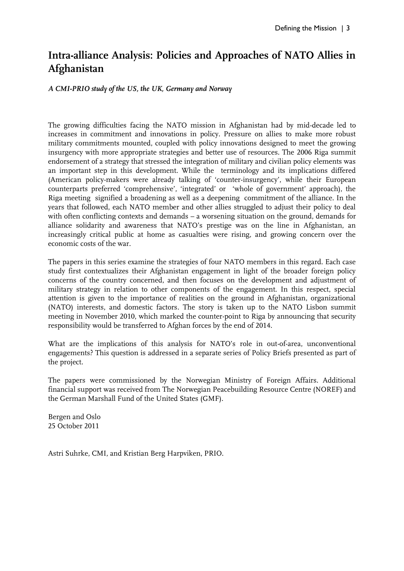## **Intra-alliance Analysis: Policies and Approaches of NATO Allies in Afghanistan**

*A CMI-PRIO study of the US, the UK, Germany and Norway* 

The growing difficulties facing the NATO mission in Afghanistan had by mid-decade led to increases in commitment and innovations in policy. Pressure on allies to make more robust military commitments mounted, coupled with policy innovations designed to meet the growing insurgency with more appropriate strategies and better use of resources. The 2006 Riga summit endorsement of a strategy that stressed the integration of military and civilian policy elements was an important step in this development. While the terminology and its implications differed (American policy-makers were already talking of 'counter-insurgency', while their European counterparts preferred 'comprehensive', 'integrated' or 'whole of government' approach), the Riga meeting signified a broadening as well as a deepening commitment of the alliance. In the years that followed, each NATO member and other allies struggled to adjust their policy to deal with often conflicting contexts and demands – a worsening situation on the ground, demands for alliance solidarity and awareness that NATO's prestige was on the line in Afghanistan, an increasingly critical public at home as casualties were rising, and growing concern over the economic costs of the war.

The papers in this series examine the strategies of four NATO members in this regard. Each case study first contextualizes their Afghanistan engagement in light of the broader foreign policy concerns of the country concerned, and then focuses on the development and adjustment of military strategy in relation to other components of the engagement. In this respect, special attention is given to the importance of realities on the ground in Afghanistan, organizational (NATO) interests, and domestic factors. The story is taken up to the NATO Lisbon summit meeting in November 2010, which marked the counter-point to Riga by announcing that security responsibility would be transferred to Afghan forces by the end of 2014.

What are the implications of this analysis for NATO's role in out-of-area, unconventional engagements? This question is addressed in a separate series of Policy Briefs presented as part of the project.

The papers were commissioned by the Norwegian Ministry of Foreign Affairs. Additional financial support was received from The Norwegian Peacebuilding Resource Centre (NOREF) and the German Marshall Fund of the United States (GMF).

Bergen and Oslo 25 October 2011

Astri Suhrke, CMI, and Kristian Berg Harpviken, PRIO.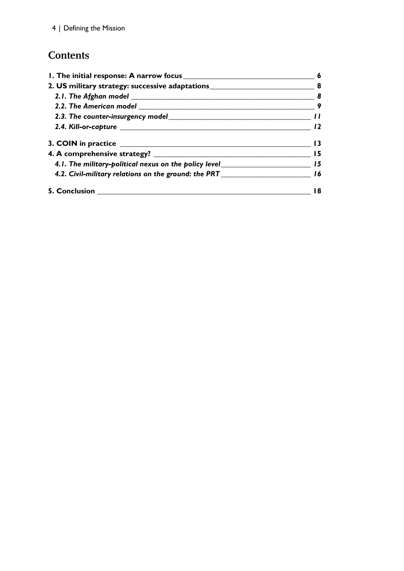## **Contents**

| 2. US military strategy: successive adaptations__________________________________ 8  |  |                                                                                             |  |
|--------------------------------------------------------------------------------------|--|---------------------------------------------------------------------------------------------|--|
|                                                                                      |  | 2.3. The counter-insurgency model example and the counter-insurgency model and the counter- |  |
|                                                                                      |  |                                                                                             |  |
|                                                                                      |  |                                                                                             |  |
|                                                                                      |  |                                                                                             |  |
| 4.1. The military-political nexus on the policy level____________________________ 15 |  |                                                                                             |  |
| 4.2. Civil-military relations on the ground: the PRT ____________________________ 16 |  |                                                                                             |  |
|                                                                                      |  |                                                                                             |  |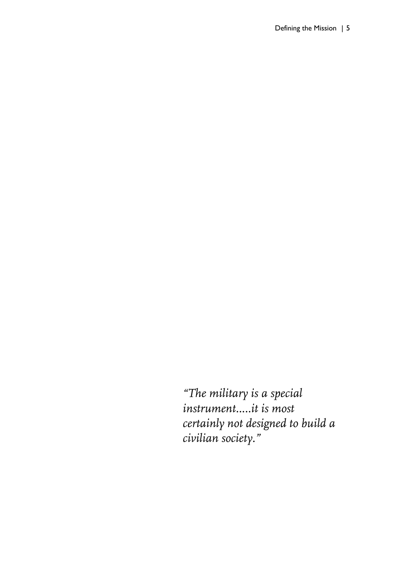*"The military is a special instrument..…it is most certainly not designed to build a civilian society."*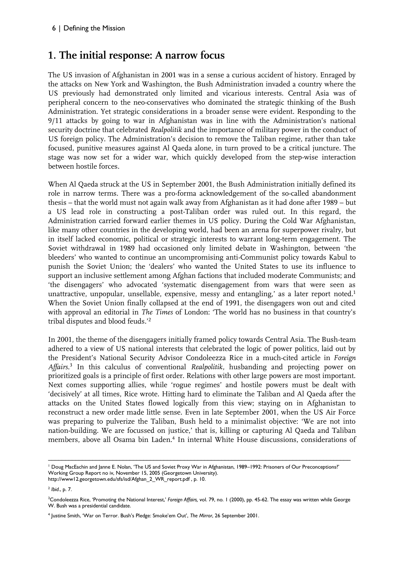## **1. The initial response: A narrow focus**

The US invasion of Afghanistan in 2001 was in a sense a curious accident of history. Enraged by the attacks on New York and Washington, the Bush Administration invaded a country where the US previously had demonstrated only limited and vicarious interests. Central Asia was of peripheral concern to the neo-conservatives who dominated the strategic thinking of the Bush Administration. Yet strategic considerations in a broader sense were evident. Responding to the 9/11 attacks by going to war in Afghanistan was in line with the Administration's national security doctrine that celebrated *Realpolitik* and the importance of military power in the conduct of US foreign policy. The Administration's decision to remove the Taliban regime, rather than take focused, punitive measures against Al Qaeda alone, in turn proved to be a critical juncture. The stage was now set for a wider war, which quickly developed from the step-wise interaction between hostile forces.

When Al Qaeda struck at the US in September 2001, the Bush Administration initially defined its role in narrow terms. There was a pro-forma acknowledgement of the so-called abandonment thesis – that the world must not again walk away from Afghanistan as it had done after 1989 – but a US lead role in constructing a post-Taliban order was ruled out. In this regard, the Administration carried forward earlier themes in US policy. During the Cold War Afghanistan, like many other countries in the developing world, had been an arena for superpower rivalry, but in itself lacked economic, political or strategic interests to warrant long-term engagement. The Soviet withdrawal in 1989 had occasioned only limited debate in Washington, between 'the bleeders' who wanted to continue an uncompromising anti-Communist policy towards Kabul to punish the Soviet Union; the 'dealers' who wanted the United States to use its influence to support an inclusive settlement among Afghan factions that included moderate Communists; and 'the disengagers' who advocated 'systematic disengagement from wars that were seen as unattractive, unpopular, unsellable, expensive, messy and entangling,' as a later report noted.<sup>1</sup> When the Soviet Union finally collapsed at the end of 1991, the disengagers won out and cited with approval an editorial in *The Times* of London: 'The world has no business in that country's tribal disputes and blood feuds.'<sup>2</sup>

In 2001, the theme of the disengagers initially framed policy towards Central Asia. The Bush-team adhered to a view of US national interests that celebrated the logic of power politics, laid out by the President's National Security Advisor Condoleezza Rice in a much-cited article in *Foreign Affairs*. 3 In this calculus of conventional *Realpolitik,* husbanding and projecting power on prioritized goals is a principle of first order. Relations with other large powers are most important. Next comes supporting allies, while 'rogue regimes' and hostile powers must be dealt with 'decisively' at all times, Rice wrote. Hitting hard to eliminate the Taliban and Al Qaeda after the attacks on the United States flowed logically from this view; staying on in Afghanistan to reconstruct a new order made little sense. Even in late September 2001, when the US Air Force was preparing to pulverize the Taliban, Bush held to a minimalist objective: 'We are not into nation-building. We are focussed on justice,' that is, killing or capturing Al Qaeda and Taliban members, above all Osama bin Laden.<sup>4</sup> In internal White House discussions, considerations of

<sup>–––––––––––––––––––––––––––––––––––––––––––––––––––––––––––––––––––––––––––––––––––––––––</sup> <sup>1</sup> Doug MacEachin and Janne E. Nolan, 'The US and Soviet Proxy War in Afghanistan, 1989–1992: Prisoners of Our Preconceptions?' Working Group Report no iv, November 15, 2005 (Georgetown University).

http://www12.georgetown.edu/sfs/isd/Afghan\_2\_WR\_report.pdf , p. 10.

<sup>2</sup> *Ibid*., p. 7.

<sup>3</sup>Condoleezza Rice, 'Promoting the National Interest,' *Foreign Affairs,* vol. 79, no. 1 (2000), pp. 45-62. The essay was written while George W. Bush was a presidential candidate.

<sup>4</sup> Justine Smith, 'War on Terror. Bush's Pledge: Smoke'em Out', *The Mirror*, 26 September 2001.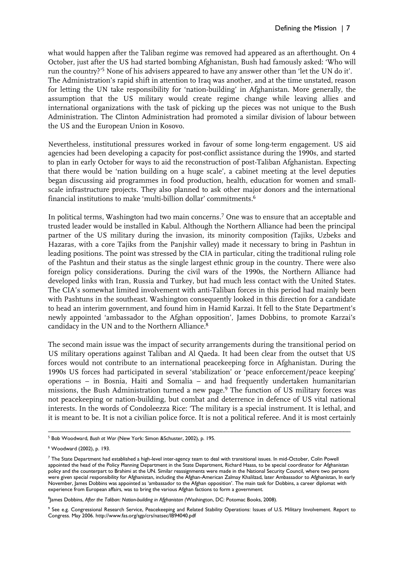what would happen after the Taliban regime was removed had appeared as an afterthought. On 4 October, just after the US had started bombing Afghanistan, Bush had famously asked: 'Who will run the country?'<sup>5</sup> None of his advisers appeared to have any answer other than 'let the UN do it'. The Administration's rapid shift in attention to Iraq was another, and at the time unstated, reason for letting the UN take responsibility for 'nation-building' in Afghanistan. More generally, the assumption that the US military would create regime change while leaving allies and international organizations with the task of picking up the pieces was not unique to the Bush Administration. The Clinton Administration had promoted a similar division of labour between the US and the European Union in Kosovo.

Nevertheless, institutional pressures worked in favour of some long-term engagement. US aid agencies had been developing a capacity for post-conflict assistance during the 1990s, and started to plan in early October for ways to aid the reconstruction of post-Taliban Afghanistan. Expecting that there would be 'nation building on a huge scale', a cabinet meeting at the level deputies began discussing aid programmes in food production, health, education for women and smallscale infrastructure projects. They also planned to ask other major donors and the international financial institutions to make 'multi-billion dollar' commitments.<sup>6</sup>

In political terms, Washington had two main concerns.<sup>7</sup> One was to ensure that an acceptable and trusted leader would be installed in Kabul. Although the Northern Alliance had been the principal partner of the US military during the invasion, its minority composition (Tajiks, Uzbeks and Hazaras, with a core Tajiks from the Panjshir valley) made it necessary to bring in Pashtun in leading positions. The point was stressed by the CIA in particular, citing the traditional ruling role of the Pashtun and their status as the single largest ethnic group in the country. There were also foreign policy considerations. During the civil wars of the 1990s, the Northern Alliance had developed links with Iran, Russia and Turkey, but had much less contact with the United States. The CIA's somewhat limited involvement with anti-Taliban forces in this period had mainly been with Pashtuns in the southeast. Washington consequently looked in this direction for a candidate to head an interim government, and found him in Hamid Karzai. It fell to the State Department's newly appointed 'ambassador to the Afghan opposition', James Dobbins, to promote Karzai's candidacy in the UN and to the Northern Alliance.<sup>8</sup>

The second main issue was the impact of security arrangements during the transitional period on US military operations against Taliban and Al Qaeda. It had been clear from the outset that US forces would not contribute to an international peacekeeping force in Afghanistan. During the 1990s US forces had participated in several 'stabilization' or 'peace enforcement/peace keeping' operations – in Bosnia, Haiti and Somalia – and had frequently undertaken humanitarian missions, the Bush Administration turned a new page.<sup>9</sup> The function of US military forces was not peacekeeping or nation-building, but combat and deterrence in defence of US vital national interests. In the words of Condoleezza Rice: 'The military is a special instrument. It is lethal, and it is meant to be. It is not a civilian police force. It is not a political referee. And it is most certainly

<sup>–––––––––––––––––––––––––––––––––––––––––––––––––––––––––––––––––––––––––––––––––––––––––</sup> <sup>5</sup> Bob Woodward, *Bush at War* (New York: Simon &Schuster, 2002), p. 195.

<sup>6</sup> Woodward (2002), p. 193.

<sup>7</sup> The State Department had established a high-level inter-agency team to deal with transitional issues. In mid-October, Colin Powell appointed the head of the Policy Planning Department in the State Department, Richard Haass, to be special coordinator for Afghanistan policy and the counterpart to Brahimi at the UN. Similar reassignments were made in the National Security Council, where two persons were given special responsibility for Afghanistan, including the Afghan-American Zalmay Khalilzad, later Ambassador to Afghanistan, In early November, James Dobbins was appointed as 'ambassador to the Afghan opposition'. The main task for Dobbins, a career diplomat with experience from European affairs, was to bring the various Afghan factions to form a government.

<sup>8</sup> James Dobbins, *After the Taliban: Nation-building in Afghanistan (*Washington, DC: Potomac Books, 2008).

<sup>9</sup> See e.g. Congressional Research Service, Peacekeeping and Related Stability Operations: Issues of U.S. Military Involvement. Report to Congress. May 2006. http://www.fas.org/sgp/crs/natsec/IB94040.pdf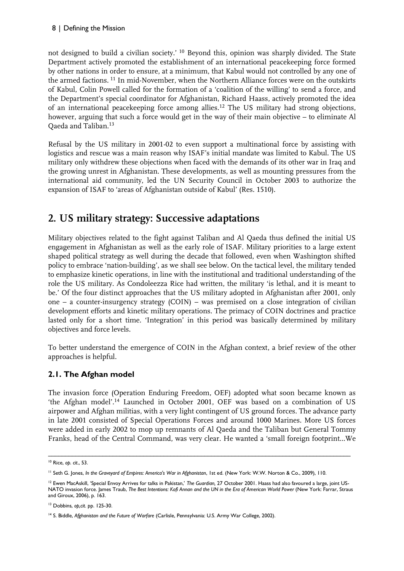not designed to build a civilian society.' <sup>10</sup> Beyond this, opinion was sharply divided. The State Department actively promoted the establishment of an international peacekeeping force formed by other nations in order to ensure, at a minimum, that Kabul would not controlled by any one of the armed factions. <sup>11</sup> In mid-November, when the Northern Alliance forces were on the outskirts of Kabul, Colin Powell called for the formation of a 'coalition of the willing' to send a force, and the Department's special coordinator for Afghanistan, Richard Haass, actively promoted the idea of an international peacekeeping force among allies.<sup>12</sup> The US military had strong objections, however, arguing that such a force would get in the way of their main objective – to eliminate Al Qaeda and Taliban.<sup>13</sup>

Refusal by the US military in 2001-02 to even support a multinational force by assisting with logistics and rescue was a main reason why ISAF's initial mandate was limited to Kabul. The US military only withdrew these objections when faced with the demands of its other war in Iraq and the growing unrest in Afghanistan. These developments, as well as mounting pressures from the international aid community, led the UN Security Council in October 2003 to authorize the expansion of ISAF to 'areas of Afghanistan outside of Kabul' (Res. 1510).

## **2. US military strategy: Successive adaptations**

Military objectives related to the fight against Taliban and Al Qaeda thus defined the initial US engagement in Afghanistan as well as the early role of ISAF. Military priorities to a large extent shaped political strategy as well during the decade that followed, even when Washington shifted policy to embrace 'nation-building', as we shall see below. On the tactical level, the military tended to emphasize kinetic operations, in line with the institutional and traditional understanding of the role the US military. As Condoleezza Rice had written, the military 'is lethal, and it is meant to be.' Of the four distinct approaches that the US military adopted in Afghanistan after 2001, only one – a counter-insurgency strategy  $(COIN)$  – was premised on a close integration of civilian development efforts and kinetic military operations. The primacy of COIN doctrines and practice lasted only for a short time. 'Integration' in this period was basically determined by military objectives and force levels.

To better understand the emergence of COIN in the Afghan context, a brief review of the other approaches is helpful.

#### **2.1. The Afghan model**

The invasion force (Operation Enduring Freedom, OEF) adopted what soon became known as 'the Afghan model'.<sup>14</sup> Launched in October 2001, OEF was based on a combination of US airpower and Afghan militias, with a very light contingent of US ground forces. The advance party in late 2001 consisted of Special Operations Forces and around 1000 Marines. More US forces were added in early 2002 to mop up remnants of Al Qaeda and the Taliban but General Tommy Franks, head of the Central Command, was very clear. He wanted a 'small foreign footprint…We

<sup>–––––––––––––––––––––––––––––––––––––––––––––––––––––––––––––––––––––––––––––––––––––––––</sup> <sup>10</sup> Rice, *op. cit*., 53.

<sup>11</sup> Seth G. Jones, *In the Graveyard of Empires: America's War in Afghanistan*, 1st ed. (New York: W.W. Norton & Co., 2009), 110.

<sup>&</sup>lt;sup>12</sup> Ewen MacAskill, 'Special Envoy Arrives for talks in Pakistan,' The Guardian, 27 October 2001. Haass had also favoured a large, joint US-NATO invasion force. James Traub, The Best Intentions: Kofi Annan and the UN in the Era of American World Power (New York: Farrar, Straus and Giroux, 2006), p. 163.

<sup>13</sup> Dobbins, *op,cit*. pp. 125-30.

<sup>14</sup> S. Biddle, *Afghanistan and the Future of Warfare* (Carlisle, Pennsylvania: U.S. Army War College, 2002).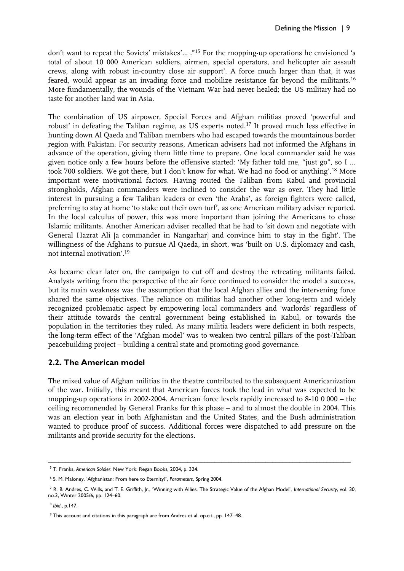don't want to repeat the Soviets' mistakes'… ."<sup>15</sup> For the mopping-up operations he envisioned 'a total of about 10 000 American soldiers, airmen, special operators, and helicopter air assault crews, along with robust in-country close air support'. A force much larger than that, it was feared, would appear as an invading force and mobilize resistance far beyond the militants.<sup>16</sup> More fundamentally, the wounds of the Vietnam War had never healed; the US military had no taste for another land war in Asia.

The combination of US airpower, Special Forces and Afghan militias proved 'powerful and robust' in defeating the Taliban regime, as US experts noted.<sup>17</sup> It proved much less effective in hunting down Al Qaeda and Taliban members who had escaped towards the mountainous border region with Pakistan. For security reasons, American advisers had not informed the Afghans in advance of the operation, giving them little time to prepare. One local commander said he was given notice only a few hours before the offensive started: 'My father told me, "just go", so I … took 700 soldiers. We got there, but I don't know for what. We had no food or anything'.<sup>18</sup> More important were motivational factors. Having routed the Taliban from Kabul and provincial strongholds, Afghan commanders were inclined to consider the war as over. They had little interest in pursuing a few Taliban leaders or even 'the Arabs', as foreign fighters were called, preferring to stay at home 'to stake out their own turf', as one American military adviser reported. In the local calculus of power, this was more important than joining the Americans to chase Islamic militants. Another American adviser recalled that he had to 'sit down and negotiate with General Hazrat Ali [a commander in Nangarhar] and convince him to stay in the fight'. The willingness of the Afghans to pursue Al Qaeda, in short, was 'built on U.S. diplomacy and cash, not internal motivation'.<sup>19</sup>

As became clear later on, the campaign to cut off and destroy the retreating militants failed. Analysts writing from the perspective of the air force continued to consider the model a success, but its main weakness was the assumption that the local Afghan allies and the intervening force shared the same objectives. The reliance on militias had another other long-term and widely recognized problematic aspect by empowering local commanders and 'warlords' regardless of their attitude towards the central government being established in Kabul, or towards the population in the territories they ruled. As many militia leaders were deficient in both respects, the long-term effect of the 'Afghan model' was to weaken two central pillars of the post-Taliban peacebuilding project – building a central state and promoting good governance.

#### **2.2. The American model**

The mixed value of Afghan militias in the theatre contributed to the subsequent Americanization of the war. Initially, this meant that American forces took the lead in what was expected to be mopping-up operations in 2002-2004. American force levels rapidly increased to 8-10 0 000 – the ceiling recommended by General Franks for this phase – and to almost the double in 2004. This was an election year in both Afghanistan and the United States, and the Bush administration wanted to produce proof of success. Additional forces were dispatched to add pressure on the militants and provide security for the elections.

<sup>–––––––––––––––––––––––––––––––––––––––––––––––––––––––––––––––––––––––––––––––––––––––––</sup> <sup>15</sup> T. Franks, *American Soldier*. New York: Regan Books, 2004, p. 324.

<sup>16</sup> S. M. Maloney, 'Afghanistan: From here to Eternity?', *Parameters*, Spring 2004.

<sup>&</sup>lt;sup>17</sup> R. B. Andres, C. Wills, and T. E. Griffith, Jr., 'Winning with Allies. The Strategic Value of the Afghan Model', *International Security*, vol. 30, no.3, Winter 2005/6, pp. 124–60.

<sup>18</sup> *Ibid*., p.147.

<sup>&</sup>lt;sup>19</sup> This account and citations in this paragraph are from Andres et al. op.cit., pp. 147–48.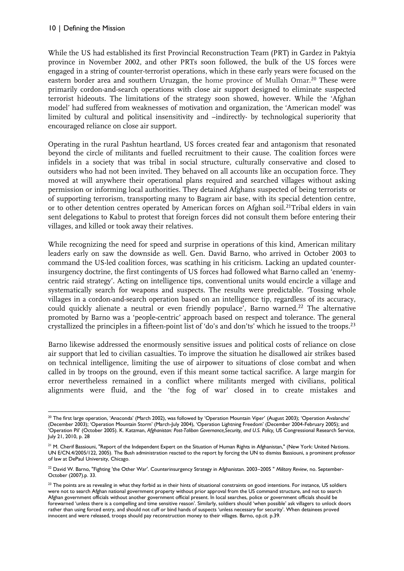While the US had established its first Provincial Reconstruction Team (PRT) in Gardez in Paktyia province in November 2002, and other PRTs soon followed, the bulk of the US forces were engaged in a string of counter-terrorist operations, which in these early years were focused on the eastern border area and southern Uruzgan, the home province of Mullah Omar.<sup>20</sup> These were primarily cordon-and-search operations with close air support designed to eliminate suspected terrorist hideouts. The limitations of the strategy soon showed, however. While the 'Afghan model' had suffered from weaknesses of motivation and organization, the 'American model' was limited by cultural and political insensitivity and –indirectly- by technological superiority that encouraged reliance on close air support.

Operating in the rural Pashtun heartland, US forces created fear and antagonism that resonated beyond the circle of militants and fuelled recruitment to their cause. The coalition forces were infidels in a society that was tribal in social structure, culturally conservative and closed to outsiders who had not been invited. They behaved on all accounts like an occupation force. They moved at will anywhere their operational plans required and searched villages without asking permission or informing local authorities. They detained Afghans suspected of being terrorists or of supporting terrorism, transporting many to Bagram air base, with its special detention centre, or to other detention centres operated by American forces on Afghan soil.<sup>21</sup>Tribal elders in vain sent delegations to Kabul to protest that foreign forces did not consult them before entering their villages, and killed or took away their relatives.

While recognizing the need for speed and surprise in operations of this kind, American military leaders early on saw the downside as well. Gen. David Barno, who arrived in October 2003 to command the US-led coalition forces, was scathing in his criticism. Lacking an updated counterinsurgency doctrine, the first contingents of US forces had followed what Barno called an 'enemycentric raid strategy'. Acting on intelligence tips, conventional units would encircle a village and systematically search for weapons and suspects. The results were predictable. 'Tossing whole villages in a cordon-and-search operation based on an intelligence tip, regardless of its accuracy, could quickly alienate a neutral or even friendly populace', Barno warned.<sup>22</sup> The alternative promoted by Barno was a 'people-centric' approach based on respect and tolerance. The general crystallized the principles in a fifteen-point list of 'do's and don'ts' which he issued to the troops.<sup>23</sup>

Barno likewise addressed the enormously sensitive issues and political costs of reliance on close air support that led to civilian casualties. To improve the situation he disallowed air strikes based on technical intelligence, limiting the use of airpower to situations of close combat and when called in by troops on the ground, even if this meant some tactical sacrifice. A large margin for error nevertheless remained in a conflict where militants merged with civilians, political alignments were fluid, and the 'the fog of war' closed in to create mistakes and

<sup>–––––––––––––––––––––––––––––––––––––––––––––––––––––––––––––––––––––––––––––––––––––––––</sup>  $^{20}$  The first large operation, 'Anaconda' (March 2002), was followed by 'Operation Mountain Viper' (August 2003); 'Operation Avalanche' (December 2003); 'Operation Mountain Storm' (March-July 2004), 'Operation Lightning Freedom' (December 2004-February 2005); and 'Operation Pil' (October 2005). K. Katzman, *Afghanistan: Post-Taliban Governance,Security, and U.S. Policy,* US Congressional Research Service, July 21, 2010, p. 28

<sup>&</sup>lt;sup>21</sup> M. Cherif Bassiouni, "Report of the Independent Expert on the Situation of Human Rights in Afghanistan," (New York: United Nations. UN E/CN.4/2005/122, 2005). The Bush administration reacted to the report by forcing the UN to dismiss Bassiouni, a prominent professor of law at DePaul University, Chicago.

<sup>22</sup> David W. Barno, "Fighting 'the Other War'. Counterinsurgency Strategy in Afghanistan. 2003–2005 " *Military Review*, no. September-October (2007).p. 33.

<sup>&</sup>lt;sup>23</sup> The points are as revealing in what they forbid as in their hints of situational constraints on good intentions. For instance, US soldiers were not to search Afghan national government property without prior approval from the US command structure, and not to search Afghan government officials without another government official present. In local searches, police or government officials should be forewarned 'unless there is a compelling and time sensitive reason'. Similarly, soldiers should 'when possible' ask villagers to unlock doors rather than using forced entry, and should not cuff or bind hands of suspects 'unless necessary for security'. When detainees proved innocent and were released, troops should pay reconstruction money to their villages. Barno, o*p.cit*. p.39.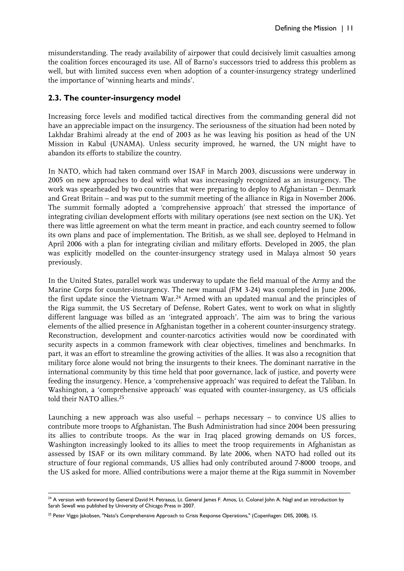misunderstanding. The ready availability of airpower that could decisively limit casualties among the coalition forces encouraged its use. All of Barno's successors tried to address this problem as well, but with limited success even when adoption of a counter-insurgency strategy underlined the importance of 'winning hearts and minds'.

#### **2.3. The counter-insurgency model**

Increasing force levels and modified tactical directives from the commanding general did not have an appreciable impact on the insurgency. The seriousness of the situation had been noted by Lakhdar Brahimi already at the end of 2003 as he was leaving his position as head of the UN Mission in Kabul (UNAMA). Unless security improved, he warned, the UN might have to abandon its efforts to stabilize the country.

In NATO, which had taken command over ISAF in March 2003, discussions were underway in 2005 on new approaches to deal with what was increasingly recognized as an insurgency. The work was spearheaded by two countries that were preparing to deploy to Afghanistan – Denmark and Great Britain – and was put to the summit meeting of the alliance in Riga in November 2006. The summit formally adopted a 'comprehensive approach' that stressed the importance of integrating civilian development efforts with military operations (see next section on the UK). Yet there was little agreement on what the term meant in practice, and each country seemed to follow its own plans and pace of implementation. The British, as we shall see, deployed to Helmand in April 2006 with a plan for integrating civilian and military efforts. Developed in 2005, the plan was explicitly modelled on the counter-insurgency strategy used in Malaya almost 50 years previously.

In the United States, parallel work was underway to update the field manual of the Army and the Marine Corps for counter-insurgency. The new manual (FM 3-24) was completed in June 2006, the first update since the Vietnam War.<sup>24</sup> Armed with an updated manual and the principles of the Riga summit, the US Secretary of Defense, Robert Gates, went to work on what in slightly different language was billed as an 'integrated approach'. The aim was to bring the various elements of the allied presence in Afghanistan together in a coherent counter-insurgency strategy. Reconstruction, development and counter-narcotics activities would now be coordinated with security aspects in a common framework with clear objectives, timelines and benchmarks. In part, it was an effort to streamline the growing activities of the allies. It was also a recognition that military force alone would not bring the insurgents to their knees. The dominant narrative in the international community by this time held that poor governance, lack of justice, and poverty were feeding the insurgency. Hence, a 'comprehensive approach' was required to defeat the Taliban. In Washington, a 'comprehensive approach' was equated with counter-insurgency, as US officials told their NATO allies.<sup>25</sup>

Launching a new approach was also useful – perhaps necessary – to convince US allies to contribute more troops to Afghanistan. The Bush Administration had since 2004 been pressuring its allies to contribute troops. As the war in Iraq placed growing demands on US forces, Washington increasingly looked to its allies to meet the troop requirements in Afghanistan as assessed by ISAF or its own military command. By late 2006, when NATO had rolled out its structure of four regional commands, US allies had only contributed around 7-8000 troops, and the US asked for more. Allied contributions were a major theme at the Riga summit in November

<sup>–––––––––––––––––––––––––––––––––––––––––––––––––––––––––––––––––––––––––––––––––––––––––</sup>  $^{24}$  A version with foreword by General David H. Petraeus, Lt. General James F. Amos, Lt. Colonel John A. Nagl and an introduction by Sarah Sewall was published by University of Chicago Press in 2007.

<sup>&</sup>lt;sup>25</sup> Peter Viggo Jakobsen, "Nato's Comprehensive Approach to Crisis Response Operations," (Copenhagen: DIIS, 2008), 15.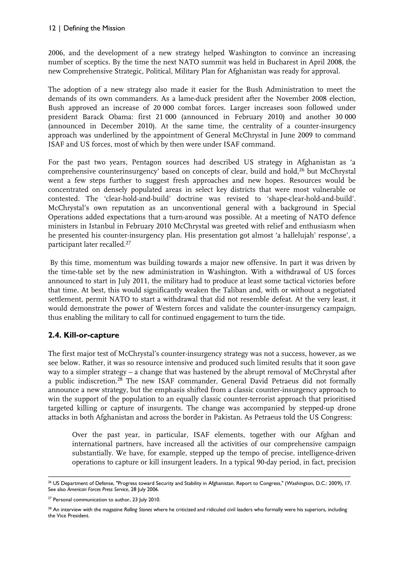2006, and the development of a new strategy helped Washington to convince an increasing number of sceptics. By the time the next NATO summit was held in Bucharest in April 2008, the new Comprehensive Strategic, Political, Military Plan for Afghanistan was ready for approval.

The adoption of a new strategy also made it easier for the Bush Administration to meet the demands of its own commanders. As a lame-duck president after the November 2008 election, Bush approved an increase of 20 000 combat forces. Larger increases soon followed under president Barack Obama: first 21 000 (announced in February 2010) and another 30 000 (announced in December 2010). At the same time, the centrality of a counter-insurgency approach was underlined by the appointment of General McChrystal in June 2009 to command ISAF and US forces, most of which by then were under ISAF command.

For the past two years, Pentagon sources had described US strategy in Afghanistan as 'a comprehensive counterinsurgency' based on concepts of clear, build and hold,<sup>26</sup> but McChrystal went a few steps further to suggest fresh approaches and new hopes. Resources would be concentrated on densely populated areas in select key districts that were most vulnerable or contested. The 'clear-hold-and-build' doctrine was revised to 'shape-clear-hold-and-build'. McChrystal's own reputation as an unconventional general with a background in Special Operations added expectations that a turn-around was possible. At a meeting of NATO defence ministers in Istanbul in February 2010 McChrystal was greeted with relief and enthusiasm when he presented his counter-insurgency plan. His presentation got almost 'a hallelujah' response', a participant later recalled.<sup>27</sup>

By this time, momentum was building towards a major new offensive. In part it was driven by the time-table set by the new administration in Washington. With a withdrawal of US forces announced to start in July 2011, the military had to produce at least some tactical victories before that time. At best, this would significantly weaken the Taliban and, with or without a negotiated settlement, permit NATO to start a withdrawal that did not resemble defeat. At the very least, it would demonstrate the power of Western forces and validate the counter-insurgency campaign, thus enabling the military to call for continued engagement to turn the tide.

#### **2.4. Kill-or-capture**

The first major test of McChrystal's counter-insurgency strategy was not a success, however, as we see below. Rather, it was so resource intensive and produced such limited results that it soon gave way to a simpler strategy – a change that was hastened by the abrupt removal of McChrystal after a public indiscretion.<sup>28</sup> The new ISAF commander, General David Petraeus did not formally announce a new strategy, but the emphasis shifted from a classic counter-insurgency approach to win the support of the population to an equally classic counter-terrorist approach that prioritised targeted killing or capture of insurgents. The change was accompanied by stepped-up drone attacks in both Afghanistan and across the border in Pakistan. As Petraeus told the US Congress:

Over the past year, in particular, ISAF elements, together with our Afghan and international partners, have increased all the activities of our comprehensive campaign substantially. We have, for example, stepped up the tempo of precise, intelligence-driven operations to capture or kill insurgent leaders. In a typical 90-day period, in fact, precision

<sup>–––––––––––––––––––––––––––––––––––––––––––––––––––––––––––––––––––––––––––––––––––––––––</sup> <sup>26</sup> US Department of Defense, "Progress toward Security and Stability in Afghanistan. Report to Congress," (Washington, D.C.: 2009), 17. See also *American Forces Press Service*, 28 July 2006.

<sup>&</sup>lt;sup>27</sup> Personal communication to author, 23 July 2010.

<sup>28</sup> An interview with the magazine *Rolling Stones* where he criticized and ridiculed civil leaders who formally were his superiors, including the Vice President.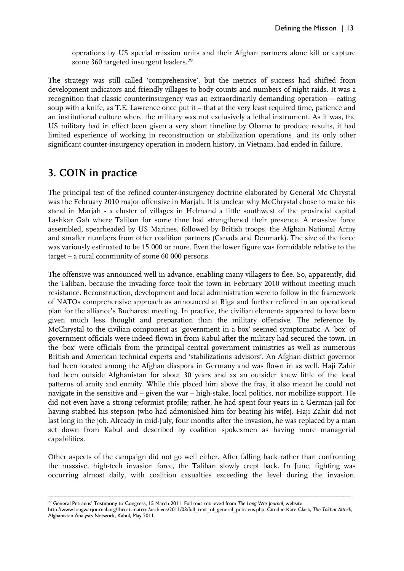operations by US special mission units and their Afghan partners alone kill or capture some 360 targeted insurgent leaders.<sup>29</sup>

The strategy was still called 'comprehensive', but the metrics of success had shifted from development indicators and friendly villages to body counts and numbers of night raids. It was a recognition that classic counterinsurgency was an extraordinarily demanding operation – eating soup with a knife, as T.E. Lawrence once put it – that at the very least required time, patience and an institutional culture where the military was not exclusively a lethal instrument. As it was, the US military had in effect been given a very short timeline by Obama to produce results, it had limited experience of working in reconstruction or stabilization operations, and its only other significant counter-insurgency operation in modern history, in Vietnam, had ended in failure.

## **3. COIN in practice**

The principal test of the refined counter-insurgency doctrine elaborated by General Mc Chrystal was the February 2010 major offensive in Marjah. It is unclear why McChrystal chose to make his stand in Marjah - a cluster of villages in Helmand a little southwest of the provincial capital Lashkar Gah where Taliban for some time had strengthened their presence. A massive force assembled, spearheaded by US Marines, followed by British troops, the Afghan National Army and smaller numbers from other coalition partners (Canada and Denmark). The size of the force was variously estimated to be 15 000 or more. Even the lower figure was formidable relative to the target – a rural community of some 60 000 persons.

The offensive was announced well in advance, enabling many villagers to flee. So, apparently, did the Taliban, because the invading force took the town in February 2010 without meeting much resistance. Reconstruction, development and local administration were to follow in the framework of NATOs comprehensive approach as announced at Riga and further refined in an operational plan for the alliance's Bucharest meeting. In practice, the civilian elements appeared to have been given much less thought and preparation than the military offensive. The reference by McChrystal to the civilian component as 'government in a box' seemed symptomatic. A 'box' of government officials were indeed flown in from Kabul after the military had secured the town. In the 'box' were officials from the principal central government ministries as well as numerous British and American technical experts and 'stabilizations advisors'. An Afghan district governor had been located among the Afghan diaspora in Germany and was flown in as well. Haji Zahir had been outside Afghanistan for about 30 years and as an outsider knew little of the local patterns of amity and enmity. While this placed him above the fray, it also meant he could not navigate in the sensitive and – given the war – high-stake, local politics, nor mobilize support. He did not even have a strong reformist profile; rather, he had spent four years in a German jail for having stabbed his stepson (who had admonished him for beating his wife). Haji Zahir did not last long in the job. Already in mid-July, four months after the invasion, he was replaced by a man set down from Kabul and described by coalition spokesmen as having more managerial capabilities.

Other aspects of the campaign did not go well either. After falling back rather than confronting the massive, high-tech invasion force, the Taliban slowly crept back. In June, fighting was occurring almost daily, with coalition casualties exceeding the level during the invasion.

––––––––––––––––––––––––––––––––––––––––––––––––––––––––––––––––––––––––––––––––––––––––– <sup>29</sup> General Petraeus' Testimony to Congress, 15 March 2011. Full text retrieved from *The Long War Journal,* website:

http://www.longwarjournal.org/threat-matrix /archives/2011/03/full\_text\_of\_general\_petraeus.php. Cited in Kate Clark, *The Takhar Attack*, Afghanistan Analysts Network, Kabul, May 2011.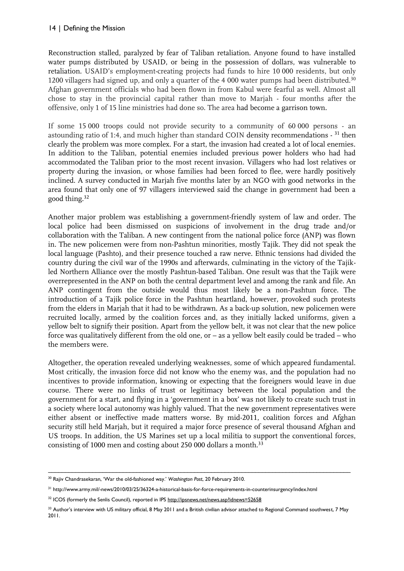Reconstruction stalled, paralyzed by fear of Taliban retaliation. Anyone found to have installed water pumps distributed by USAID, or being in the possession of dollars, was vulnerable to retaliation. USAID's employment-creating projects had funds to hire 10 000 residents, but only 1200 villagers had signed up, and only a quarter of the 4 000 water pumps had been distributed.<sup>30</sup> Afghan government officials who had been flown in from Kabul were fearful as well. Almost all chose to stay in the provincial capital rather than move to Marjah - four months after the offensive, only 1 of 15 line ministries had done so. The area had become a garrison town.

If some 15 000 troops could not provide security to a community of 60 000 persons - an astounding ratio of 1:4, and much higher than standard COIN density recommendations - <sup>31</sup> then clearly the problem was more complex. For a start, the invasion had created a lot of local enemies. In addition to the Taliban, potential enemies included previous power holders who had had accommodated the Taliban prior to the most recent invasion. Villagers who had lost relatives or property during the invasion, or whose families had been forced to flee, were hardly positively inclined. A survey conducted in Marjah five months later by an NGO with good networks in the area found that only one of 97 villagers interviewed said the change in government had been a good thing.<sup>32</sup>

Another major problem was establishing a government-friendly system of law and order. The local police had been dismissed on suspicions of involvement in the drug trade and/or collaboration with the Taliban. A new contingent from the national police force (ANP) was flown in. The new policemen were from non-Pashtun minorities, mostly Tajik. They did not speak the local language (Pashto), and their presence touched a raw nerve. Ethnic tensions had divided the country during the civil war of the 1990s and afterwards, culminating in the victory of the Tajikled Northern Alliance over the mostly Pashtun-based Taliban. One result was that the Tajik were overrepresented in the ANP on both the central department level and among the rank and file. An ANP contingent from the outside would thus most likely be a non-Pashtun force. The introduction of a Tajik police force in the Pashtun heartland, however, provoked such protests from the elders in Marjah that it had to be withdrawn. As a back-up solution, new policemen were recruited locally, armed by the coalition forces and, as they initially lacked uniforms, given a yellow belt to signify their position. Apart from the yellow belt, it was not clear that the new police force was qualitatively different from the old one, or – as a yellow belt easily could be traded – who the members were.

Altogether, the operation revealed underlying weaknesses, some of which appeared fundamental. Most critically, the invasion force did not know who the enemy was, and the population had no incentives to provide information, knowing or expecting that the foreigners would leave in due course. There were no links of trust or legitimacy between the local population and the government for a start, and flying in a 'government in a box' was not likely to create such trust in a society where local autonomy was highly valued. That the new government representatives were either absent or ineffective made matters worse. By mid-2011, coalition forces and Afghan security still held Marjah, but it required a major force presence of several thousand Afghan and US troops. In addition, the US Marines set up a local militia to support the conventional forces, consisting of 1000 men and costing about 250 000 dollars a month.<sup>33</sup>

<sup>–––––––––––––––––––––––––––––––––––––––––––––––––––––––––––––––––––––––––––––––––––––––––</sup> <sup>30</sup> Rajiv Chandrasekaran, 'War the old-fashioned way.' *Washington Post*, 20 February 2010.

<sup>31</sup> http://www.army.mil/-news/2010/03/25/36324-a-historical-basis-for-force-requirements-in-counterinsurgency/index.html

<sup>&</sup>lt;sup>32</sup> ICOS (formerly the Senlis Council), reported in IPS<http://ipsnews.net/news.asp?idnews=52658>

<sup>33</sup> Author's interview with US military official, 8 May 2011 and a British civilian advisor attached to Regional Command southwest, 7 May 2011.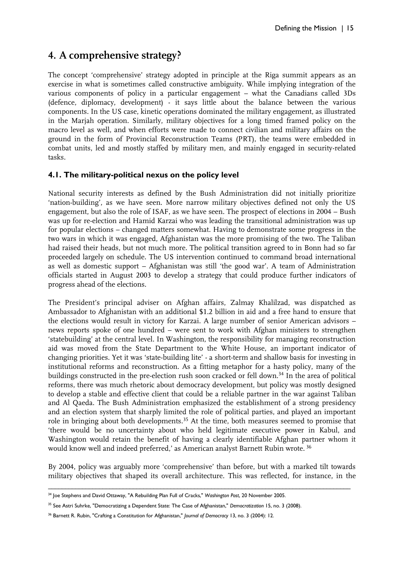## **4. A comprehensive strategy?**

The concept 'comprehensive' strategy adopted in principle at the Riga summit appears as an exercise in what is sometimes called constructive ambiguity. While implying integration of the various components of policy in a particular engagement – what the Canadians called 3Ds (defence, diplomacy, development) - it says little about the balance between the various components. In the US case, kinetic operations dominated the military engagement, as illustrated in the Marjah operation. Similarly, military objectives for a long timed framed policy on the macro level as well, and when efforts were made to connect civilian and military affairs on the ground in the form of Provincial Reconstruction Teams (PRT), the teams were embedded in combat units, led and mostly staffed by military men, and mainly engaged in security-related tasks.

#### **4.1. The military-political nexus on the policy level**

National security interests as defined by the Bush Administration did not initially prioritize 'nation-building', as we have seen. More narrow military objectives defined not only the US engagement, but also the role of ISAF, as we have seen. The prospect of elections in 2004 – Bush was up for re-election and Hamid Karzai who was leading the transitional administration was up for popular elections – changed matters somewhat. Having to demonstrate some progress in the two wars in which it was engaged, Afghanistan was the more promising of the two. The Taliban had raised their heads, but not much more. The political transition agreed to in Bonn had so far proceeded largely on schedule. The US intervention continued to command broad international as well as domestic support – Afghanistan was still 'the good war'. A team of Administration officials started in August 2003 to develop a strategy that could produce further indicators of progress ahead of the elections.

The President's principal adviser on Afghan affairs, Zalmay Khalilzad, was dispatched as Ambassador to Afghanistan with an additional \$1.2 billion in aid and a free hand to ensure that the elections would result in victory for Karzai. A large number of senior American advisors – news reports spoke of one hundred – were sent to work with Afghan ministers to strengthen 'statebuilding' at the central level. In Washington, the responsibility for managing reconstruction aid was moved from the State Department to the White House, an important indicator of changing priorities. Yet it was 'state-building lite' - a short-term and shallow basis for investing in institutional reforms and reconstruction. As a fitting metaphor for a hasty policy, many of the buildings constructed in the pre-election rush soon cracked or fell down.<sup>34</sup> In the area of political reforms, there was much rhetoric about democracy development, but policy was mostly designed to develop a stable and effective client that could be a reliable partner in the war against Taliban and Al Qaeda. The Bush Administration emphasized the establishment of a strong presidency and an election system that sharply limited the role of political parties, and played an important role in bringing about both developments.<sup>35</sup> At the time, both measures seemed to promise that 'there would be no uncertainty about who held legitimate executive power in Kabul, and Washington would retain the benefit of having a clearly identifiable Afghan partner whom it would know well and indeed preferred,' as American analyst Barnett Rubin wrote. <sup>36</sup>

By 2004, policy was arguably more 'comprehensive' than before, but with a marked tilt towards military objectives that shaped its overall architecture. This was reflected, for instance, in the

<sup>–––––––––––––––––––––––––––––––––––––––––––––––––––––––––––––––––––––––––––––––––––––––––</sup> <sup>34</sup> Joe Stephens and David Ottaway, "A Rebuilding Plan Full of Cracks," *Washington Post*, 20 November 2005.

<sup>35</sup> See Astri Suhrke, "Democratizing a Dependent State: The Case of Afghanistan," *Democratization* 15, no. 3 (2008).

<sup>36</sup> Barnett R. Rubin, "Crafting a Constitution for Afghanistan," *Journal of Democracy* 13, no. 3 (2004): 12.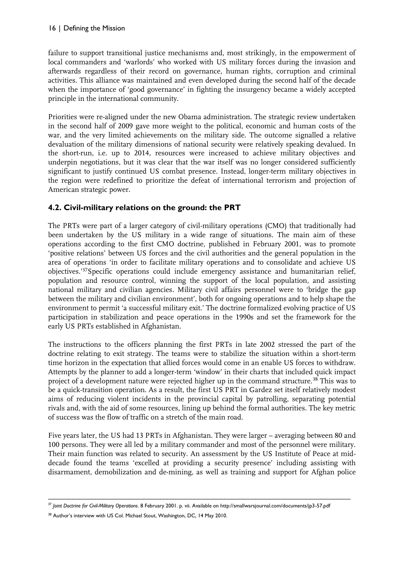failure to support transitional justice mechanisms and, most strikingly, in the empowerment of local commanders and 'warlords' who worked with US military forces during the invasion and afterwards regardless of their record on governance, human rights, corruption and criminal activities. This alliance was maintained and even developed during the second half of the decade when the importance of 'good governance' in fighting the insurgency became a widely accepted principle in the international community.

Priorities were re-aligned under the new Obama administration. The strategic review undertaken in the second half of 2009 gave more weight to the political, economic and human costs of the war, and the very limited achievements on the military side. The outcome signalled a relative devaluation of the military dimensions of national security were relatively speaking devalued. In the short-run, i.e. up to 2014, resources were increased to achieve military objectives and underpin negotiations, but it was clear that the war itself was no longer considered sufficiently significant to justify continued US combat presence. Instead, longer-term military objectives in the region were redefined to prioritize the defeat of international terrorism and projection of American strategic power.

#### **4.2. Civil-military relations on the ground: the PRT**

The PRTs were part of a larger category of civil-military operations (CMO) that traditionally had been undertaken by the US military in a wide range of situations. The main aim of these operations according to the first CMO doctrine, published in February 2001, was to promote 'positive relations' between US forces and the civil authorities and the general population in the area of operations 'in order to facilitate military operations and to consolidate and achieve US objectives.'<sup>37</sup>Specific operations could include emergency assistance and humanitarian relief, population and resource control, winning the support of the local population, and assisting national military and civilian agencies. Military civil affairs personnel were to 'bridge the gap between the military and civilian environment', both for ongoing operations and to help shape the environment to permit 'a successful military exit.' The doctrine formalized evolving practice of US participation in stabilization and peace operations in the 1990s and set the framework for the early US PRTs established in Afghanistan.

The instructions to the officers planning the first PRTs in late 2002 stressed the part of the doctrine relating to exit strategy. The teams were to stabilize the situation within a short-term time horizon in the expectation that allied forces would come in an enable US forces to withdraw. Attempts by the planner to add a longer-term 'window' in their charts that included quick impact project of a development nature were rejected higher up in the command structure.<sup>38</sup> This was to be a quick-transition operation. As a result, the first US PRT in Gardez set itself relatively modest aims of reducing violent incidents in the provincial capital by patrolling, separating potential rivals and, with the aid of some resources, lining up behind the formal authorities. The key metric of success was the flow of traffic on a stretch of the main road.

Five years later, the US had 13 PRTs in Afghanistan. They were larger – averaging between 80 and 100 persons. They were all led by a military commander and most of the personnel were military. Their main function was related to security. An assessment by the US Institute of Peace at middecade found the teams 'excelled at providing a security presence' including assisting with disarmament, demobilization and de-mining, as well as training and support for Afghan police

<sup>–––––––––––––––––––––––––––––––––––––––––––––––––––––––––––––––––––––––––––––––––––––––––</sup> <sup>37</sup> *Joint Doctrine for Civil-Military Operations*. 8 February 2001. p. vii. Available on http://smallwarsjournal.com/documents/jp3-57.pdf

<sup>38</sup> Author's interview with US Col. Michael Stout, Washington, DC, 14 May 2010.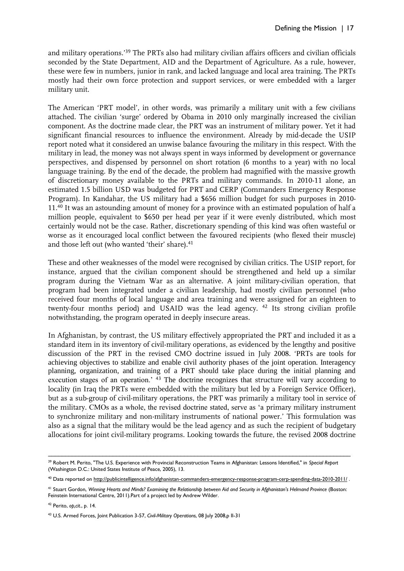and military operations.'<sup>39</sup> The PRTs also had military civilian affairs officers and civilian officials seconded by the State Department, AID and the Department of Agriculture. As a rule, however, these were few in numbers, junior in rank, and lacked language and local area training. The PRTs mostly had their own force protection and support services, or were embedded with a larger military unit.

The American 'PRT model', in other words, was primarily a military unit with a few civilians attached. The civilian 'surge' ordered by Obama in 2010 only marginally increased the civilian component. As the doctrine made clear, the PRT was an instrument of military power. Yet it had significant financial resources to influence the environment. Already by mid-decade the USIP report noted what it considered an unwise balance favouring the military in this respect. With the military in lead, the money was not always spent in ways informed by development or governance perspectives, and dispensed by personnel on short rotation (6 months to a year) with no local language training. By the end of the decade, the problem had magnified with the massive growth of discretionary money available to the PRTs and military commands. In 2010-11 alone, an estimated 1.5 billion USD was budgeted for PRT and CERP (Commanders Emergency Response Program). In Kandahar, the US military had a \$656 million budget for such purposes in 2010- 11.<sup>40</sup> It was an astounding amount of money for a province with an estimated population of half a million people, equivalent to \$650 per head per year if it were evenly distributed, which most certainly would not be the case. Rather, discretionary spending of this kind was often wasteful or worse as it encouraged local conflict between the favoured recipients (who flexed their muscle) and those left out (who wanted 'their' share).<sup>41</sup>

These and other weaknesses of the model were recognised by civilian critics. The USIP report, for instance, argued that the civilian component should be strengthened and held up a similar program during the Vietnam War as an alternative. A joint military-civilian operation, that program had been integrated under a civilian leadership, had mostly civilian personnel (who received four months of local language and area training and were assigned for an eighteen to twenty-four months period) and USAID was the lead agency. <sup>42</sup> Its strong civilian profile notwithstanding, the program operated in deeply insecure areas.

In Afghanistan, by contrast, the US military effectively appropriated the PRT and included it as a standard item in its inventory of civil-military operations, as evidenced by the lengthy and positive discussion of the PRT in the revised CMO doctrine issued in July 2008. 'PRTs are tools for achieving objectives to stabilize and enable civil authority phases of the joint operation. Interagency planning, organization, and training of a PRT should take place during the initial planning and execution stages of an operation.<sup>'</sup> <sup>43</sup> The doctrine recognizes that structure will vary according to locality (in Iraq the PRTs were embedded with the military but led by a Foreign Service Officer), but as a sub-group of civil-military operations, the PRT was primarily a military tool in service of the military. CMOs as a whole, the revised doctrine stated, serve as 'a primary military instrument to synchronize military and non-military instruments of national power.' This formulation was also as a signal that the military would be the lead agency and as such the recipient of budgetary allocations for joint civil-military programs. Looking towards the future, the revised 2008 doctrine

<sup>42</sup> Perito, *op,cit*., p. 14.

<sup>–––––––––––––––––––––––––––––––––––––––––––––––––––––––––––––––––––––––––––––––––––––––––</sup> <sup>39</sup> Robert M. Perito, "The U.S. Experience with Provincial Reconstruction Teams in Afghanistan: Lessons Identified," in *Special Report* (Washington D.C.: United States Institute of Peace, 2005), 13.

<sup>40</sup> Data reported on<http://publicintelligence.info/afghanistan-commanders-emergency-response-program-cerp-spending-data-2010-2011/>.

<sup>41</sup> Stuart Gordon, *Winning Hearts and Minds? Examining the Relationship between Aid and Security in Afghanistan's Helmand Province* (Boston: Feinstein International Centre, 2011).Part of a project led by Andrew Wilder.

<sup>43</sup> U.S. Armed Forces, Joint Publication 3-57, *Civil-Military Operations*, 08 July 2008,p II-31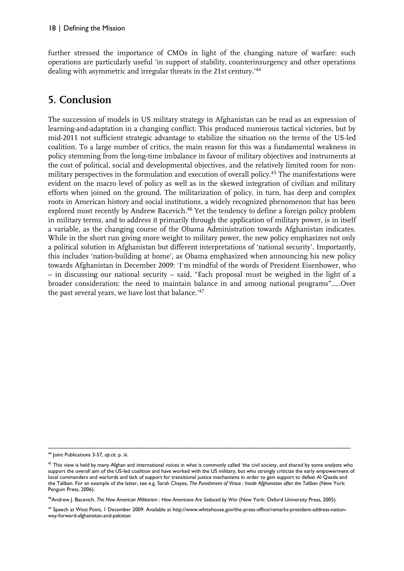further stressed the importance of CMOs in light of the changing nature of warfare: such operations are particularly useful 'in support of stability, counterinsurgency and other operations dealing with asymmetric and irregular threats in the 21st century.'<sup>44</sup>

## **5. Conclusion**

The succession of models in US military strategy in Afghanistan can be read as an expression of learning-and-adaptation in a changing conflict. This produced numerous tactical victories, but by mid-2011 not sufficient strategic advantage to stabilize the situation on the terms of the US-led coalition. To a large number of critics, the main reason for this was a fundamental weakness in policy stemming from the long-time imbalance in favour of military objectives and instruments at the cost of political, social and developmental objectives, and the relatively limited room for nonmilitary perspectives in the formulation and execution of overall policy.<sup>45</sup> The manifestations were evident on the macro level of policy as well as in the skewed integration of civilian and military efforts when joined on the ground. The militarization of policy, in turn, has deep and complex roots in American history and social institutions, a widely recognized phenomenon that has been explored most recently by Andrew Bacevich.<sup>46</sup> Yet the tendency to define a foreign policy problem in military terms, and to address it primarily through the application of military power, is in itself a variable, as the changing course of the Obama Administration towards Afghanistan indicates. While in the short run giving more weight to military power, the new policy emphasizes not only a political solution in Afghanistan but different interpretations of 'national security'. Importantly, this includes 'nation-building at home', as Obama emphasized when announcing his new policy towards Afghanistan in December 2009: 'I'm mindful of the words of President Eisenhower, who -- in discussing our national security -- said, "Each proposal must be weighed in the light of a broader consideration: the need to maintain balance in and among national programs"…..Over the past several years, we have lost that balance.'<sup>47</sup>

–––––––––––––––––––––––––––––––––––––––––––––––––––––––––––––––––––––––––––––––––––––––––

<sup>46</sup>Andrew J. Bacevich, *The New American Militarism : How Americans Are Seduced by War* (New York: Oxford University Press, 2005).

<sup>44</sup> Joint Publications 3-57*, op.cit*. p. iii.

<sup>&</sup>lt;sup>45</sup> This view is held by many Afghan and international voices in what is commonly called 'the civil society, and shared by some analysts who support the overall aim of the US-led coalition and have worked with the US military, but who strongly criticize the early empowerment of local commanders and warlords and lack of support for transitional justice mechanisms in order to gain support to defeat Al Qaeda and the Taliban. For an example of the latter, see e.g. Sarah Chayes, *The Punishment of Virtue : Inside Afghanistan after the Taliban* (New York: Penguin Press, 2006).

<sup>47</sup> Speech at West Point, 1 December 2009. Available at http://www.whitehouse.gov/the-press-office/remarks-president-address-nationway-forward-afghanistan-and-pakistan